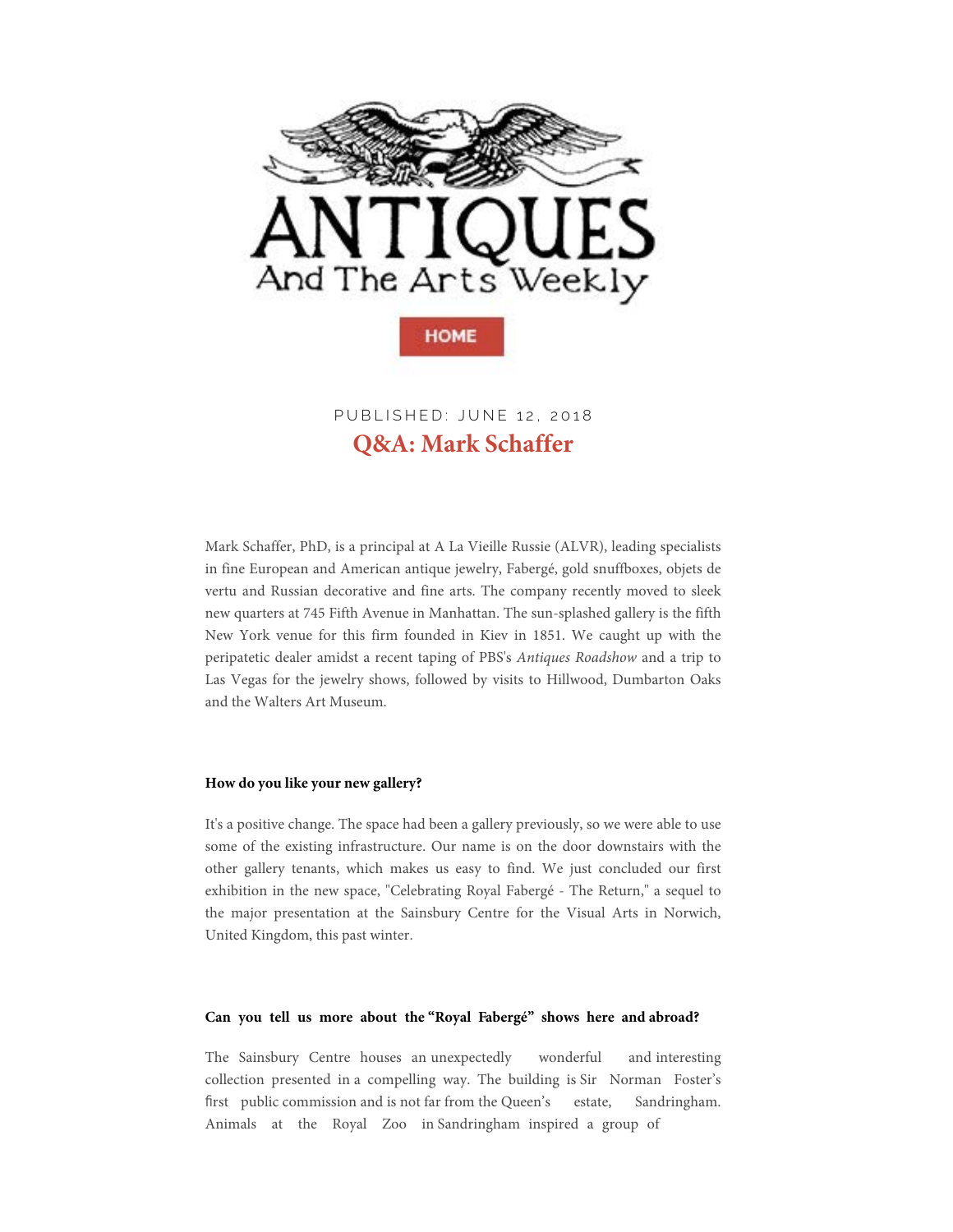

**Q&A: Mark Schaffer** PUBLISHED: JUNE 12, 2018

[Mark Schaffer, PhD, is a principal at A La Vieille Russie \(ALVR\), leading specialists](http://googleads.g.doubleclick.net/pcs/click?xai=AKAOjsuZWAD55pGre83axI7NQt2qUWy37PIg6hjSPx-FAJbknVREo8r0i2y7FxIwIXoUBFo81zBx_TqbO6PJNwCePxv3N2J6gK-F2T2SSs-xByfiXKHZ84jfF49LyJ0w2OcZebIomyvQ-YTmzc64UaVXUWYXTDS1uUQc2RG7WaQle5inor4eFl0kPWbl6sxGwy5eqOyJY0Nh4vo1Yiphh-fm6-GrXDR_UeWw46NtGkm-2nTjhJoPUUO5XZPoxyPTi9iBdsMrqhkCJw&sai=AMfl-YQTWxf6_bHd--QHJjY2jWssThtCQDYuoFCATijahvZIW4ObiPwB8dXcNE-o86G1iZp73MT7HGv5R1UnBh5EDtqqOGkCxnanA0z0cH0nBP-LaGJsifHRCuJLFvo&sig=Cg0ArKJSzE40gS8lUi1L&adurl=http://www.applebrookauctions.com&nm=1)  in fine European and American antique jewelry, Fabergé, gold snuffboxes, objets de vertu and Russian decorative and fine arts. The company recently moved to sleek new quarters at 745 Fifth Avenue in Manhattan. The sun-splashed gallery is the fifth New York venue for this firm founded in Kiev in 1851. We caught up with the peripatetic dealer amidst a recent taping of PBS's *Antiques Roadshow* and a trip to Las Vegas for the jewelry shows, followed by visits to Hillwood, Dumbarton Oak[s](http://www.antiquesandthearts.com/events/2018-06-13/)  and the Walters Art Museum.

#### **How do you like your new gallery?**

It's a positive change. The space had been a gallery previously, so we were able to use some of the existing infrastructure. Our name is on the door downstairs with the other gallery tenants, which makes us easy to find. We just conclud[ed our first](https://www.antiquesandthearts.com/events/?event_id=9595)  exhibition in the new space, "Celebrating Royal Fabergé - The Return," a sequel to the major presentation at the Sainsbury Centre for the Visual Arts in Norwich, United Kingdom, this past winter.

#### **Can you tell us more about the "Royal Fabergé" shows here and abroad?**

The Sainsbury Centre houses an unexpectedly wonderful and interesting collection presented in a compelling way. The building is Sir Norman Foster's first public commission and is not far from the Queen's estate, Sandringham. Animals at the Royal Zoo in Sandringham inspired a group of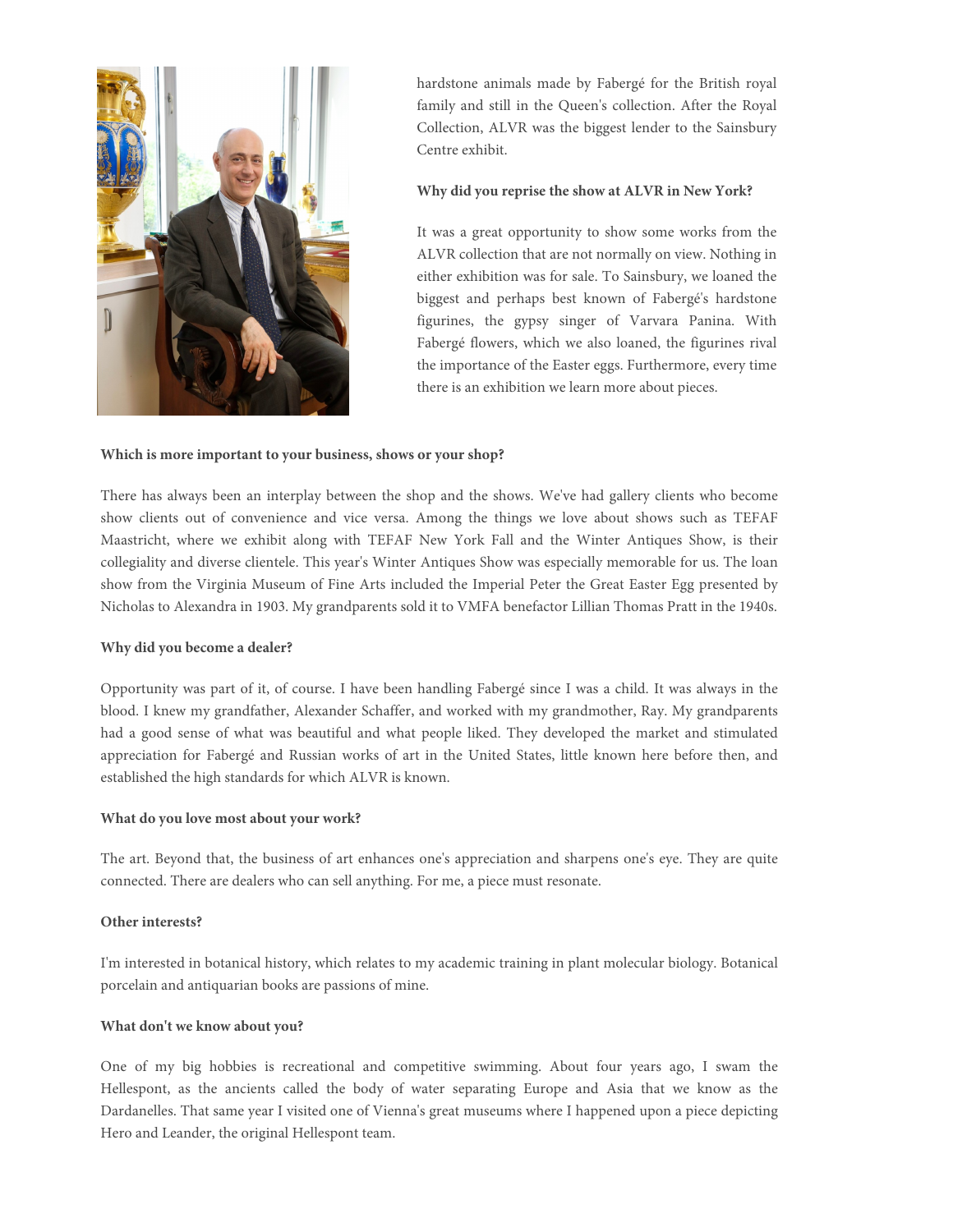

hardstone animals made by Fabergé for the British royal family and still in the Queen's collection. After the Royal Collection, ALVR was the biggest lender to the Sainsbury Centre exhibit.

### **Why did you reprise the show at ALVR in New York?**

It was a great opportunity to show some works from the ALVR collection that are not normally on view. Nothing in either exhibition was for sale. To Sainsbury, we loaned the biggest and perhaps best known of Fabergé's hardstone figurines, the gypsy singer of Varvara Panina. With Fabergé flowers, which we also loaned, the figurines rival the importance of the Easter eggs. Furthermore, every time there is an exhibition we learn more about pieces.

#### **Which is more important to your business, shows or your shop?**

There has always been an interplay between the shop and the shows. We've had gallery clients who become show clients out of convenience and vice versa. Among the things we love about shows such as TEFAF Maastricht, where we exhibit along with TEFAF New York Fall and the Winter Antiques Show, is their collegiality and diverse clientele. This year's Winter Antiques Show was especially memorable for us. The loan show from the Virginia Museum of Fine Arts included the Imperial Peter the Great Easter Egg presented by Nicholas to Alexandra in 1903. My grandparents sold it to VMFA benefactor Lillian Thomas Pratt in the 1940s.

#### **Why did you become a dealer?**

Opportunity was part of it, of course. I have been handling Fabergé since I was a child. It was always in the blood. I knew my grandfather, Alexander Schaffer, and worked with my grandmother, R[ay. My grandparents](http://googleads.g.doubleclick.net/pcs/click?xai=AKAOjsuyuCtW3YXydKEakeJIqp8Si0NHFxEk6YS1s7-HtvrkqyrrvY39jmthWl1k0r_W-DY31487A1yRWJ_LFw3CSEulZnlAhm6jUdNsR7H-k3NkDQ7EM-fo41yiq7v4dMc8CngYrv5Dhvy37zIfffs912FnHjzO5gIsKoOwXU_NpUhVfDggJEzcSsqR0r3E2htoErwcQR0ORYQMfHe8QM78t1yBwf5BYq7CDENOeJOlf0-cWa18NLzX0q-ala9ViNxBjqO9fBSoDKD9KIymAQg&sai=AMfl-YTqWEXNjKiPV-WQgfHYC4iPdAolTLp-UJ1oAWQ7ev65yTag_1w5FxU6lizoZwWPjp1pPrVodWwo1YWRWuHffYZ84IxnhqHeci3zllfLcPQF_Ds-NwNGNNsXH_A&sig=Cg0ArKJSzIQzwXSpJbRK&adurl=http://www.schultzauctioneers.net)  had a good sense of what was beautiful and what people liked. They developed the market and stimulated appreciation for Fabergé and Russian works of art in the United States, little known here before then, and established the high standards for which ALVR is known.

#### **What do you love most about your work?**

The art. Beyond that, the business of art enhances one's appreciation and sharpens one's eye. They are quite connected. There are dealers who can sell anything. For me, a piece must resonate.

#### **Other interests?**

I'm interested in botanical history, which relates to my academic training in plant molecular biology. Botanical porcelain and antiquarian books are passions of mine.

#### **What don't we know about you?**

One of my big hobbies is recreational and competitive swimming. About four years ago, I swam the Hellespont, as the ancients called the body of water separating Europe and Asia that we know as the Dardanelles. That same year I visited one of Vienna's great museums where I happened upon a piece depicting Hero and Leander, the original Hellespont team.